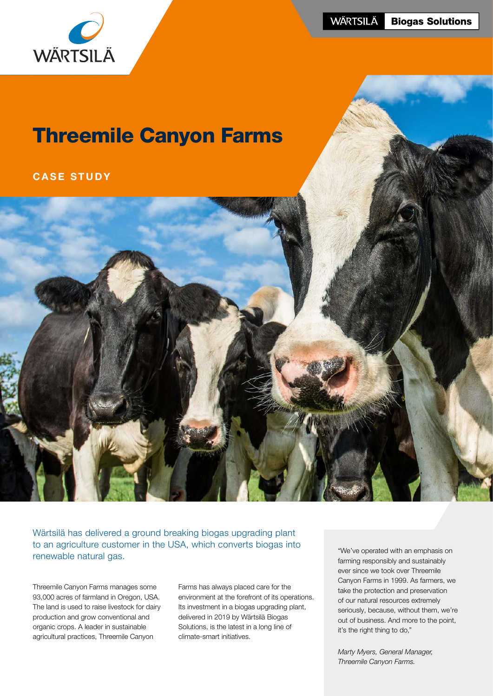

**WÄRTSILÄ Biogas Solutions** 

# Threemile Canyon Farms

## CASE STUDY



Wärtsilä has delivered a ground breaking biogas upgrading plant to an agriculture customer in the USA, which converts biogas into renewable natural gas.<br>
renewable natural gas.<br>  $\frac{1}{2}$  in the convention of the convention of the convention of the convention of the convention of the convention of the convention of the convention of the convention of

Threemile Canyon Farms manages some 93,000 acres of farmland in Oregon, USA. The land is used to raise livestock for dairy production and grow conventional and organic crops. A leader in sustainable agricultural practices, Threemile Canyon

Farms has always placed care for the environment at the forefront of its operations. Its investment in a biogas upgrading plant, delivered in 2019 by Wärtsilä Biogas Solutions, is the latest in a long line of climate-smart initiatives.

farming responsibly and sustainably ever since we took over Threemile Canyon Farms in 1999. As farmers, we take the protection and preservation of our natural resources extremely seriously, because, without them, we're out of business. And more to the point, it's the right thing to do,"

*Marty Myers, General Manager, Threemile Canyon Farms.*